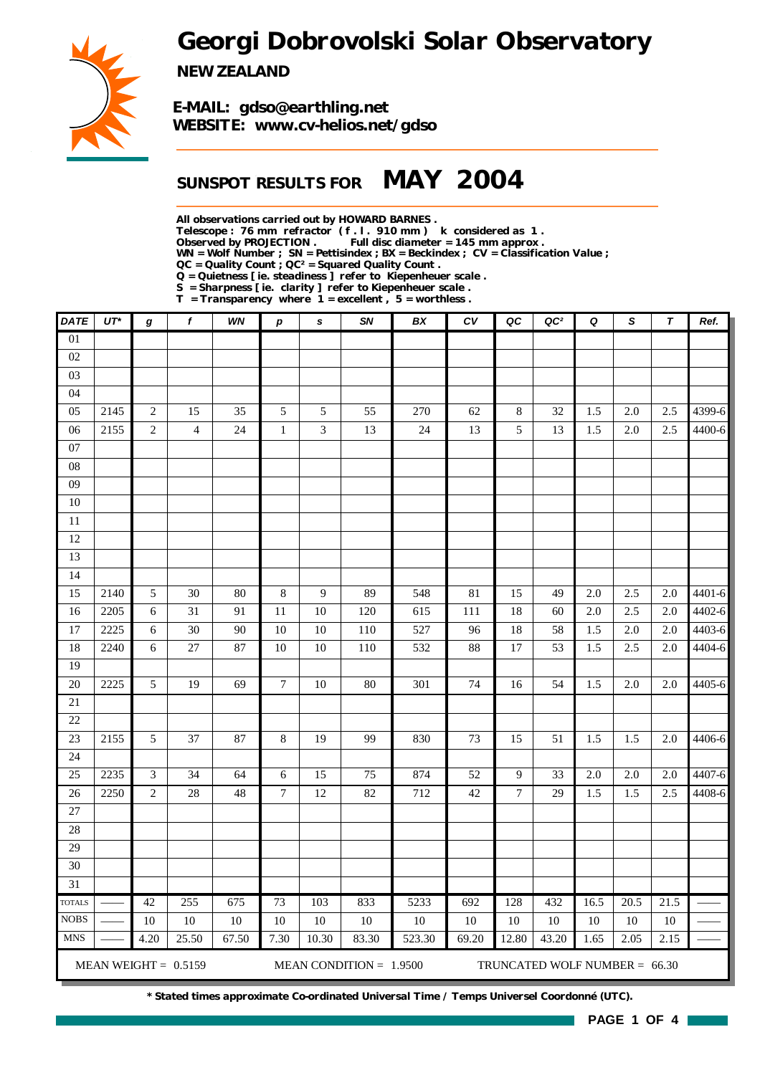*Georgi Dobrovolski Solar Observatory*



*NEW ZEALAND*

*E-MAIL: gdso@earthling.net WEBSITE: www.cv-helios.net/gdso*

### *SUNSPOT RESULTS FOR MAY 2004*

*All observations carried out by HOWARD BARNES .*

*Telescope : 76 mm refractor ( f . l . 910 mm ) k considered as 1 .*

*Observed by PROJECTION . Full disc diameter = 145 mm approx .*

*WN = Wolf Number ; SN = Pettisindex ; BX = Beckindex ; CV = Classification Value ;*

*QC = Quality Count ; QC² = Squared Quality Count .*

*Q = Quietness [ ie. steadiness ] refer to Kiepenheuer scale .*

*S = Sharpness [ ie. clarity ] refer to Kiepenheuer scale . T = Transparency where 1 = excellent , 5 = worthless .*

| DATE                    | $UT^*$       | $\boldsymbol{g}$ | f                       | WN       | $\boldsymbol{p}$ | s              | <b>SN</b>                 | BX     | ${\cal C}{\cal V}$ | QC             | QC <sup>2</sup>                 | Q          | S                  | $\tau$         | Ref.             |
|-------------------------|--------------|------------------|-------------------------|----------|------------------|----------------|---------------------------|--------|--------------------|----------------|---------------------------------|------------|--------------------|----------------|------------------|
| $\overline{01}$         |              |                  |                         |          |                  |                |                           |        |                    |                |                                 |            |                    |                |                  |
| 02                      |              |                  |                         |          |                  |                |                           |        |                    |                |                                 |            |                    |                |                  |
| 03                      |              |                  |                         |          |                  |                |                           |        |                    |                |                                 |            |                    |                |                  |
| 04                      |              |                  |                         |          |                  |                |                           |        |                    |                |                                 |            |                    |                |                  |
| 05                      | 2145         | $\sqrt{2}$       | 15                      | 35       | 5                | 5              | 55                        | 270    | 62                 | $8\,$          | 32                              | 1.5        | $2.0\,$            | 2.5            | 4399-6           |
| 06                      | 2155         | $\sqrt{2}$       | $\overline{\mathbf{4}}$ | 24       | $\mathbf{1}$     | 3              | 13                        | 24     | 13                 | 5              | 13                              | 1.5        | $2.0\,$            | 2.5            | 4400-6           |
| $07\,$                  |              |                  |                         |          |                  |                |                           |        |                    |                |                                 |            |                    |                |                  |
| ${\bf 08}$              |              |                  |                         |          |                  |                |                           |        |                    |                |                                 |            |                    |                |                  |
| 09                      |              |                  |                         |          |                  |                |                           |        |                    |                |                                 |            |                    |                |                  |
| $10\,$                  |              |                  |                         |          |                  |                |                           |        |                    |                |                                 |            |                    |                |                  |
| $11\,$                  |              |                  |                         |          |                  |                |                           |        |                    |                |                                 |            |                    |                |                  |
| $12\,$                  |              |                  |                         |          |                  |                |                           |        |                    |                |                                 |            |                    |                |                  |
| 13                      |              |                  |                         |          |                  |                |                           |        |                    |                |                                 |            |                    |                |                  |
| 14<br>15                |              |                  | 30                      | 80       | $8\,$            | $\overline{9}$ | 89                        |        |                    | 15             | 49                              | 2.0        | 2.5                | 2.0            |                  |
|                         | 2140         | 5                |                         |          |                  |                |                           | 548    | $81\,$             |                |                                 |            |                    |                | 4401-6<br>4402-6 |
| 16                      | 2205         | 6                | 31<br>30                | 91       | 11               | 10             | 120                       | 615    | 111                | 18             | 60                              | $2.0\,$    | 2.5                | 2.0            | 4403-6           |
| $17\,$<br>18            | 2225<br>2240 | 6<br>$\epsilon$  | $27\,$                  | 90<br>87 | $10\,$<br>10     | 10<br>$10\,$   | 110                       | 527    | 96<br>88           | 18<br>17       | 58<br>53                        | 1.5<br>1.5 | $2.0\,$<br>$2.5\,$ | $2.0\,$<br>2.0 | 4404-6           |
| 19                      |              |                  |                         |          |                  |                | 110                       | 532    |                    |                |                                 |            |                    |                |                  |
| $20\,$                  | 2225         | 5                | 19                      | 69       | $\boldsymbol{7}$ | 10             | 80                        | 301    | 74                 | 16             | 54                              | 1.5        | $2.0\,$            | $2.0\,$        | 4405-6           |
| $21\,$                  |              |                  |                         |          |                  |                |                           |        |                    |                |                                 |            |                    |                |                  |
| $22\,$                  |              |                  |                         |          |                  |                |                           |        |                    |                |                                 |            |                    |                |                  |
| 23                      | 2155         | 5                | 37                      | 87       | 8                | 19             | 99                        | 830    | 73                 | 15             | 51                              | 1.5        | 1.5                | $2.0\,$        | 4406-6           |
| 24                      |              |                  |                         |          |                  |                |                           |        |                    |                |                                 |            |                    |                |                  |
| 25                      | 2235         | $\mathfrak{Z}$   | 34                      | 64       | 6                | 15             | 75                        | 874    | 52                 | $\overline{9}$ | 33                              | $2.0\,$    | $2.0\,$            | 2.0            | 4407-6           |
| 26                      | 2250         | $\sqrt{2}$       | $28\,$                  | $48\,$   | $\boldsymbol{7}$ | 12             | 82                        | 712    | $42\,$             | $\overline{7}$ | 29                              | 1.5        | 1.5                | 2.5            | 4408-6           |
| $27\,$                  |              |                  |                         |          |                  |                |                           |        |                    |                |                                 |            |                    |                |                  |
| $28\,$                  |              |                  |                         |          |                  |                |                           |        |                    |                |                                 |            |                    |                |                  |
| 29                      |              |                  |                         |          |                  |                |                           |        |                    |                |                                 |            |                    |                |                  |
| 30                      |              |                  |                         |          |                  |                |                           |        |                    |                |                                 |            |                    |                |                  |
| $\overline{31}$         |              |                  |                         |          |                  |                |                           |        |                    |                |                                 |            |                    |                |                  |
| $\operatorname{TOTALS}$ |              | 42               | 255                     | 675      | 73               | 103            | 833                       | 5233   | 692                | 128            | 432                             | 16.5       | 20.5               | 21.5           |                  |
| <b>NOBS</b>             |              | 10               | 10                      | $10\,$   | 10               | 10             | 10                        | $10\,$ | 10                 | 10             | 10                              | 10         | 10                 | 10             |                  |
| <b>MNS</b>              |              | 4.20             | 25.50                   | 67.50    | 7.30             | 10.30          | 83.30                     | 523.30 | 69.20              | 12.80          | 43.20                           | 1.65       | 2.05               | 2.15           |                  |
|                         |              |                  | MEAN WEIGHT = $0.5159$  |          |                  |                | MEAN CONDITION = $1.9500$ |        |                    |                | TRUNCATED WOLF NUMBER = $66.30$ |            |                    |                |                  |

*\* Stated times approximate Co-ordinated Universal Time / Temps Universel Coordonné (UTC).*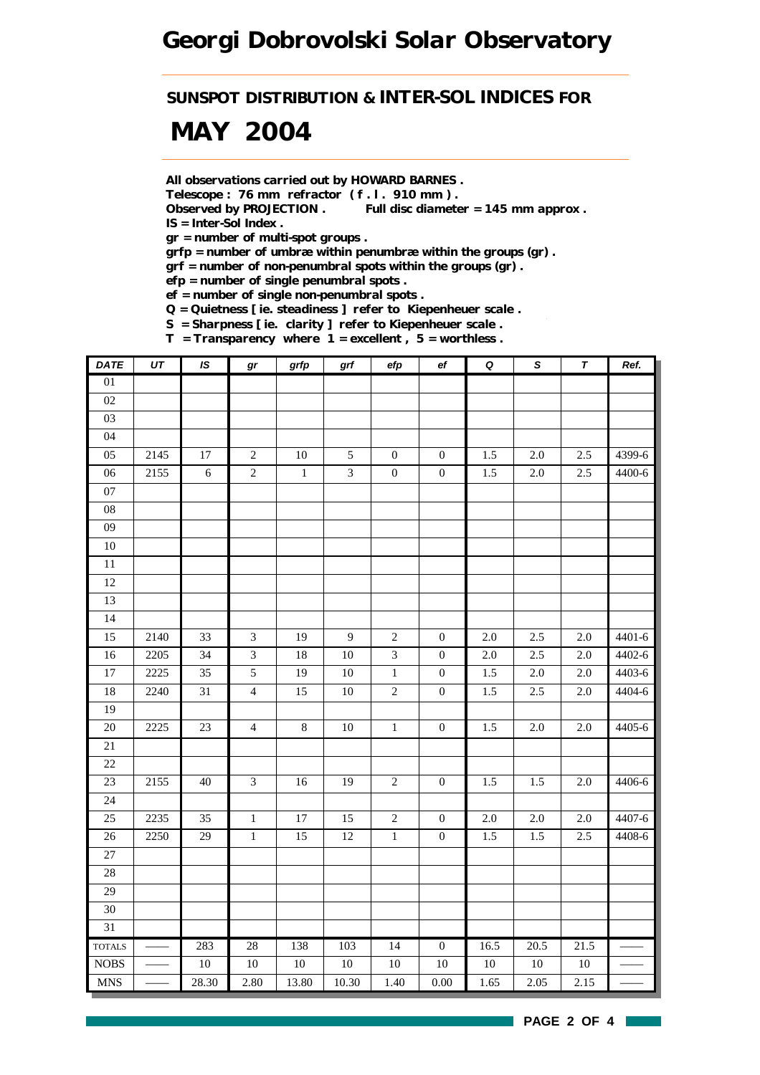*SUNSPOT DISTRIBUTION & INTER-SOL INDICES FOR*

## *MAY 2004*

*All observations carried out by HOWARD BARNES .*

*Telescope : 76 mm refractor ( f . l . 910 mm ) .*

*Observed by PROJECTION . Full disc diameter = 145 mm approx . IS = Inter-Sol Index .*

*gr = number of multi-spot groups .*

*grfp = number of umbræ within penumbræ within the groups (gr) .*

*grf = number of non-penumbral spots within the groups (gr) .*

*efp = number of single penumbral spots .*

*ef = number of single non-penumbral spots .*

*Q = Quietness [ ie. steadiness ] refer to Kiepenheuer scale .*

*S = Sharpness [ ie. clarity ] refer to Kiepenheuer scale .*

*T = Transparency where 1 = excellent , 5 = worthless .*

| <b>DATE</b>     | UT   | IS              | gr             | grfp   | grf          | efp              | ef               | $\pmb Q$ | $\pmb{\mathsf{s}}$ | T       | Ref.   |
|-----------------|------|-----------------|----------------|--------|--------------|------------------|------------------|----------|--------------------|---------|--------|
| $\overline{01}$ |      |                 |                |        |              |                  |                  |          |                    |         |        |
| 02              |      |                 |                |        |              |                  |                  |          |                    |         |        |
| 03              |      |                 |                |        |              |                  |                  |          |                    |         |        |
| 04              |      |                 |                |        |              |                  |                  |          |                    |         |        |
| 05              | 2145 | $17\,$          | $\overline{c}$ | $10\,$ | $\sqrt{5}$   | $\boldsymbol{0}$ | $\boldsymbol{0}$ | 1.5      | $2.0\,$            | 2.5     | 4399-6 |
| 06              | 2155 | $\epsilon$      | $\overline{2}$ | $\,1$  | 3            | $\boldsymbol{0}$ | $\boldsymbol{0}$ | 1.5      | $2.0\,$            | 2.5     | 4400-6 |
| 07              |      |                 |                |        |              |                  |                  |          |                    |         |        |
| 08              |      |                 |                |        |              |                  |                  |          |                    |         |        |
| 09              |      |                 |                |        |              |                  |                  |          |                    |         |        |
| $10\,$          |      |                 |                |        |              |                  |                  |          |                    |         |        |
| 11              |      |                 |                |        |              |                  |                  |          |                    |         |        |
| $12\,$          |      |                 |                |        |              |                  |                  |          |                    |         |        |
| 13              |      |                 |                |        |              |                  |                  |          |                    |         |        |
| 14              |      |                 |                |        |              |                  |                  |          |                    |         |        |
| 15              | 2140 | 33              | $\overline{3}$ | 19     | $\mathbf{9}$ | $\sqrt{2}$       | $\boldsymbol{0}$ | 2.0      | 2.5                | 2.0     | 4401-6 |
| 16              | 2205 | 34              | $\mathfrak{Z}$ | $18\,$ | $10\,$       | $\mathfrak{Z}$   | $\boldsymbol{0}$ | $2.0\,$  | 2.5                | 2.0     | 4402-6 |
| $\overline{17}$ | 2225 | $\overline{35}$ | $\overline{5}$ | 19     | $10\,$       | $\,1$            | $\boldsymbol{0}$ | 1.5      | $2.0\,$            | $2.0\,$ | 4403-6 |
| 18              | 2240 | 31              | $\overline{4}$ | 15     | $10\,$       | $\sqrt{2}$       | $\boldsymbol{0}$ | 1.5      | 2.5                | 2.0     | 4404-6 |
| 19              |      |                 |                |        |              |                  |                  |          |                    |         |        |
| $\overline{20}$ | 2225 | 23              | $\overline{4}$ | 8      | $10\,$       | $\,1\,$          | $\boldsymbol{0}$ | 1.5      | $2.0\,$            | 2.0     | 4405-6 |
| 21              |      |                 |                |        |              |                  |                  |          |                    |         |        |
| $22\,$          |      |                 |                |        |              |                  |                  |          |                    |         |        |
| 23              | 2155 | 40              | $\mathfrak{Z}$ | $16\,$ | 19           | $\sqrt{2}$       | $\boldsymbol{0}$ | 1.5      | 1.5                | $2.0\,$ | 4406-6 |
| $24\,$          |      |                 |                |        |              |                  |                  |          |                    |         |        |
| 25              | 2235 | 35              | $\mathbf{1}$   | 17     | 15           | $\sqrt{2}$       | $\boldsymbol{0}$ | $2.0\,$  | 2.0                | 2.0     | 4407-6 |
| $26\,$          | 2250 | 29              | $\,1$          | 15     | 12           | $\,1$            | $\boldsymbol{0}$ | 1.5      | 1.5                | 2.5     | 4408-6 |
| 27              |      |                 |                |        |              |                  |                  |          |                    |         |        |
| 28              |      |                 |                |        |              |                  |                  |          |                    |         |        |
| $\overline{29}$ |      |                 |                |        |              |                  |                  |          |                    |         |        |
| 30              |      |                 |                |        |              |                  |                  |          |                    |         |        |
| 31              |      |                 |                |        |              |                  |                  |          |                    |         |        |
| <b>TOTALS</b>   |      | 283             | 28             | 138    | 103          | 14               | $\overline{0}$   | 16.5     | 20.5               | 21.5    |        |
| $\rm{NOBS}$     |      | $10\,$          | $10\,$         | $10\,$ | $10\,$       | $10\,$           | $10\,$           | $10\,$   | $10\,$             | $10\,$  |        |
| <b>MNS</b>      |      | 28.30           | 2.80           | 13.80  | 10.30        | 1.40             | $0.00\,$         | 1.65     | 2.05               | 2.15    |        |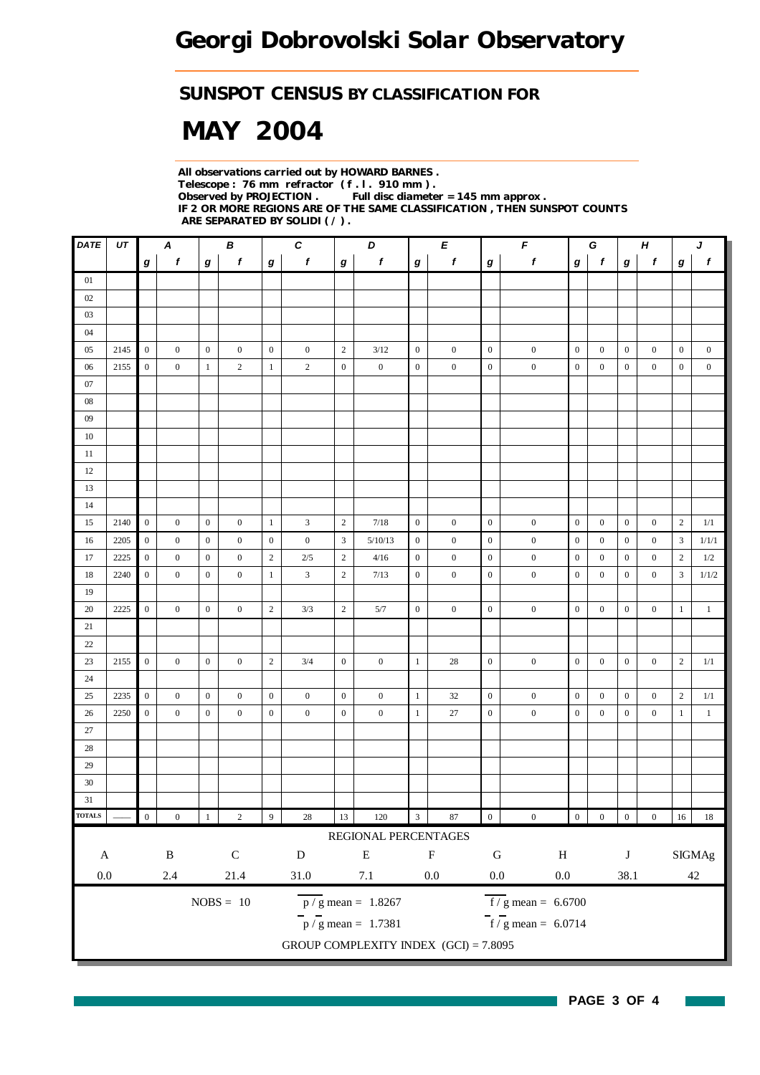#### *SUNSPOT CENSUS BY CLASSIFICATION FOR*

# *MAY 2004*

*All observations carried out by HOWARD BARNES . Telescope : 76 mm refractor ( f . l . 910 mm ) . Full disc diameter = 145 mm approx . IF 2 OR MORE REGIONS ARE OF THE SAME CLASSIFICATION , THEN SUNSPOT COUNTS ARE SEPARATED BY SOLIDI ( / ) .*

| UT |                                                                                                        | $\pmb{\mathsf{A}}$                                                                                                                                                           |                                                                                                                                                                                                                               | $\pmb B$                                                                                                                                             |                                                                                                                                                                                                                  | $\pmb{C}$                                                                                                                                                                                      |                                                                                                                                                                  | $\boldsymbol{D}$                                                                                                                                                          |                                                                                                                                                                                                               | E                                                                                                                                                                     |                                                                                                                                                                                                          | $\pmb{\digamma}$                                                                                                                                                                                 | G<br>$\pmb H$                                                                                                                                                                                                                                                                             |                                                                                                                                                                                                                           |                                                                                                                                                                                                                                      | J                                                                                                                                                                                   |                                                                                                                                                                              |                                                                                                                            |
|----|--------------------------------------------------------------------------------------------------------|------------------------------------------------------------------------------------------------------------------------------------------------------------------------------|-------------------------------------------------------------------------------------------------------------------------------------------------------------------------------------------------------------------------------|------------------------------------------------------------------------------------------------------------------------------------------------------|------------------------------------------------------------------------------------------------------------------------------------------------------------------------------------------------------------------|------------------------------------------------------------------------------------------------------------------------------------------------------------------------------------------------|------------------------------------------------------------------------------------------------------------------------------------------------------------------|---------------------------------------------------------------------------------------------------------------------------------------------------------------------------|---------------------------------------------------------------------------------------------------------------------------------------------------------------------------------------------------------------|-----------------------------------------------------------------------------------------------------------------------------------------------------------------------|----------------------------------------------------------------------------------------------------------------------------------------------------------------------------------------------------------|--------------------------------------------------------------------------------------------------------------------------------------------------------------------------------------------------|-------------------------------------------------------------------------------------------------------------------------------------------------------------------------------------------------------------------------------------------------------------------------------------------|---------------------------------------------------------------------------------------------------------------------------------------------------------------------------------------------------------------------------|--------------------------------------------------------------------------------------------------------------------------------------------------------------------------------------------------------------------------------------|-------------------------------------------------------------------------------------------------------------------------------------------------------------------------------------|------------------------------------------------------------------------------------------------------------------------------------------------------------------------------|----------------------------------------------------------------------------------------------------------------------------|
|    | g                                                                                                      | $\boldsymbol{f}$                                                                                                                                                             | g                                                                                                                                                                                                                             | $\pmb{f}$                                                                                                                                            | $\bm{g}$                                                                                                                                                                                                         | $\boldsymbol{f}$                                                                                                                                                                               | $\bm{g}$                                                                                                                                                         | f                                                                                                                                                                         | $\boldsymbol{g}$                                                                                                                                                                                              | f                                                                                                                                                                     | $\boldsymbol{g}$                                                                                                                                                                                         | $\pmb{f}$                                                                                                                                                                                        | g                                                                                                                                                                                                                                                                                         | $\mathbf{f}$                                                                                                                                                                                                              | $\bm{g}$                                                                                                                                                                                                                             | $\pmb{f}$                                                                                                                                                                           | $\boldsymbol{g}$                                                                                                                                                             | $\mathbf{f}$                                                                                                               |
|    |                                                                                                        |                                                                                                                                                                              |                                                                                                                                                                                                                               |                                                                                                                                                      |                                                                                                                                                                                                                  |                                                                                                                                                                                                |                                                                                                                                                                  |                                                                                                                                                                           |                                                                                                                                                                                                               |                                                                                                                                                                       |                                                                                                                                                                                                          |                                                                                                                                                                                                  |                                                                                                                                                                                                                                                                                           |                                                                                                                                                                                                                           |                                                                                                                                                                                                                                      |                                                                                                                                                                                     |                                                                                                                                                                              |                                                                                                                            |
|    |                                                                                                        |                                                                                                                                                                              |                                                                                                                                                                                                                               |                                                                                                                                                      |                                                                                                                                                                                                                  |                                                                                                                                                                                                |                                                                                                                                                                  |                                                                                                                                                                           |                                                                                                                                                                                                               |                                                                                                                                                                       |                                                                                                                                                                                                          |                                                                                                                                                                                                  |                                                                                                                                                                                                                                                                                           |                                                                                                                                                                                                                           |                                                                                                                                                                                                                                      |                                                                                                                                                                                     |                                                                                                                                                                              |                                                                                                                            |
|    |                                                                                                        |                                                                                                                                                                              |                                                                                                                                                                                                                               |                                                                                                                                                      |                                                                                                                                                                                                                  |                                                                                                                                                                                                |                                                                                                                                                                  |                                                                                                                                                                           |                                                                                                                                                                                                               |                                                                                                                                                                       |                                                                                                                                                                                                          |                                                                                                                                                                                                  |                                                                                                                                                                                                                                                                                           |                                                                                                                                                                                                                           |                                                                                                                                                                                                                                      |                                                                                                                                                                                     |                                                                                                                                                                              |                                                                                                                            |
|    |                                                                                                        |                                                                                                                                                                              |                                                                                                                                                                                                                               |                                                                                                                                                      |                                                                                                                                                                                                                  |                                                                                                                                                                                                |                                                                                                                                                                  |                                                                                                                                                                           |                                                                                                                                                                                                               |                                                                                                                                                                       |                                                                                                                                                                                                          |                                                                                                                                                                                                  |                                                                                                                                                                                                                                                                                           |                                                                                                                                                                                                                           |                                                                                                                                                                                                                                      |                                                                                                                                                                                     |                                                                                                                                                                              |                                                                                                                            |
|    |                                                                                                        |                                                                                                                                                                              | $\mathbf{0}$                                                                                                                                                                                                                  |                                                                                                                                                      |                                                                                                                                                                                                                  |                                                                                                                                                                                                |                                                                                                                                                                  | 3/12                                                                                                                                                                      |                                                                                                                                                                                                               |                                                                                                                                                                       | $\boldsymbol{0}$                                                                                                                                                                                         |                                                                                                                                                                                                  |                                                                                                                                                                                                                                                                                           | $\boldsymbol{0}$                                                                                                                                                                                                          | $\boldsymbol{0}$                                                                                                                                                                                                                     | $\boldsymbol{0}$                                                                                                                                                                    |                                                                                                                                                                              | $\boldsymbol{0}$                                                                                                           |
|    |                                                                                                        |                                                                                                                                                                              | $\mathbf{1}$                                                                                                                                                                                                                  | $\overline{2}$                                                                                                                                       |                                                                                                                                                                                                                  |                                                                                                                                                                                                |                                                                                                                                                                  | $\boldsymbol{0}$                                                                                                                                                          | $\overline{0}$                                                                                                                                                                                                | $\boldsymbol{0}$                                                                                                                                                      |                                                                                                                                                                                                          |                                                                                                                                                                                                  | $\boldsymbol{0}$                                                                                                                                                                                                                                                                          | $\mathbf{0}$                                                                                                                                                                                                              | $\boldsymbol{0}$                                                                                                                                                                                                                     | $\boldsymbol{0}$                                                                                                                                                                    | $\boldsymbol{0}$                                                                                                                                                             | $\boldsymbol{0}$                                                                                                           |
|    |                                                                                                        |                                                                                                                                                                              |                                                                                                                                                                                                                               |                                                                                                                                                      |                                                                                                                                                                                                                  |                                                                                                                                                                                                |                                                                                                                                                                  |                                                                                                                                                                           |                                                                                                                                                                                                               |                                                                                                                                                                       |                                                                                                                                                                                                          |                                                                                                                                                                                                  |                                                                                                                                                                                                                                                                                           |                                                                                                                                                                                                                           |                                                                                                                                                                                                                                      |                                                                                                                                                                                     |                                                                                                                                                                              |                                                                                                                            |
|    |                                                                                                        |                                                                                                                                                                              |                                                                                                                                                                                                                               |                                                                                                                                                      |                                                                                                                                                                                                                  |                                                                                                                                                                                                |                                                                                                                                                                  |                                                                                                                                                                           |                                                                                                                                                                                                               |                                                                                                                                                                       |                                                                                                                                                                                                          |                                                                                                                                                                                                  |                                                                                                                                                                                                                                                                                           |                                                                                                                                                                                                                           |                                                                                                                                                                                                                                      |                                                                                                                                                                                     |                                                                                                                                                                              |                                                                                                                            |
|    |                                                                                                        |                                                                                                                                                                              |                                                                                                                                                                                                                               |                                                                                                                                                      |                                                                                                                                                                                                                  |                                                                                                                                                                                                |                                                                                                                                                                  |                                                                                                                                                                           |                                                                                                                                                                                                               |                                                                                                                                                                       |                                                                                                                                                                                                          |                                                                                                                                                                                                  |                                                                                                                                                                                                                                                                                           |                                                                                                                                                                                                                           |                                                                                                                                                                                                                                      |                                                                                                                                                                                     |                                                                                                                                                                              |                                                                                                                            |
|    |                                                                                                        |                                                                                                                                                                              |                                                                                                                                                                                                                               |                                                                                                                                                      |                                                                                                                                                                                                                  |                                                                                                                                                                                                |                                                                                                                                                                  |                                                                                                                                                                           |                                                                                                                                                                                                               |                                                                                                                                                                       |                                                                                                                                                                                                          |                                                                                                                                                                                                  |                                                                                                                                                                                                                                                                                           |                                                                                                                                                                                                                           |                                                                                                                                                                                                                                      |                                                                                                                                                                                     |                                                                                                                                                                              |                                                                                                                            |
|    |                                                                                                        |                                                                                                                                                                              |                                                                                                                                                                                                                               |                                                                                                                                                      |                                                                                                                                                                                                                  |                                                                                                                                                                                                |                                                                                                                                                                  |                                                                                                                                                                           |                                                                                                                                                                                                               |                                                                                                                                                                       |                                                                                                                                                                                                          |                                                                                                                                                                                                  |                                                                                                                                                                                                                                                                                           |                                                                                                                                                                                                                           |                                                                                                                                                                                                                                      |                                                                                                                                                                                     |                                                                                                                                                                              |                                                                                                                            |
|    |                                                                                                        |                                                                                                                                                                              |                                                                                                                                                                                                                               |                                                                                                                                                      |                                                                                                                                                                                                                  |                                                                                                                                                                                                |                                                                                                                                                                  |                                                                                                                                                                           |                                                                                                                                                                                                               |                                                                                                                                                                       |                                                                                                                                                                                                          |                                                                                                                                                                                                  |                                                                                                                                                                                                                                                                                           |                                                                                                                                                                                                                           |                                                                                                                                                                                                                                      |                                                                                                                                                                                     |                                                                                                                                                                              |                                                                                                                            |
|    |                                                                                                        |                                                                                                                                                                              |                                                                                                                                                                                                                               |                                                                                                                                                      |                                                                                                                                                                                                                  |                                                                                                                                                                                                |                                                                                                                                                                  |                                                                                                                                                                           |                                                                                                                                                                                                               |                                                                                                                                                                       |                                                                                                                                                                                                          |                                                                                                                                                                                                  |                                                                                                                                                                                                                                                                                           |                                                                                                                                                                                                                           |                                                                                                                                                                                                                                      |                                                                                                                                                                                     |                                                                                                                                                                              |                                                                                                                            |
|    |                                                                                                        |                                                                                                                                                                              |                                                                                                                                                                                                                               |                                                                                                                                                      |                                                                                                                                                                                                                  |                                                                                                                                                                                                |                                                                                                                                                                  |                                                                                                                                                                           |                                                                                                                                                                                                               |                                                                                                                                                                       |                                                                                                                                                                                                          |                                                                                                                                                                                                  |                                                                                                                                                                                                                                                                                           |                                                                                                                                                                                                                           |                                                                                                                                                                                                                                      |                                                                                                                                                                                     |                                                                                                                                                                              |                                                                                                                            |
|    |                                                                                                        |                                                                                                                                                                              |                                                                                                                                                                                                                               |                                                                                                                                                      |                                                                                                                                                                                                                  |                                                                                                                                                                                                |                                                                                                                                                                  |                                                                                                                                                                           |                                                                                                                                                                                                               |                                                                                                                                                                       |                                                                                                                                                                                                          |                                                                                                                                                                                                  |                                                                                                                                                                                                                                                                                           |                                                                                                                                                                                                                           |                                                                                                                                                                                                                                      |                                                                                                                                                                                     |                                                                                                                                                                              | 1/1                                                                                                                        |
|    |                                                                                                        |                                                                                                                                                                              |                                                                                                                                                                                                                               |                                                                                                                                                      |                                                                                                                                                                                                                  |                                                                                                                                                                                                |                                                                                                                                                                  |                                                                                                                                                                           |                                                                                                                                                                                                               |                                                                                                                                                                       |                                                                                                                                                                                                          |                                                                                                                                                                                                  |                                                                                                                                                                                                                                                                                           |                                                                                                                                                                                                                           |                                                                                                                                                                                                                                      |                                                                                                                                                                                     |                                                                                                                                                                              | 1/1/1                                                                                                                      |
|    |                                                                                                        |                                                                                                                                                                              |                                                                                                                                                                                                                               |                                                                                                                                                      |                                                                                                                                                                                                                  |                                                                                                                                                                                                |                                                                                                                                                                  |                                                                                                                                                                           |                                                                                                                                                                                                               |                                                                                                                                                                       |                                                                                                                                                                                                          |                                                                                                                                                                                                  |                                                                                                                                                                                                                                                                                           |                                                                                                                                                                                                                           |                                                                                                                                                                                                                                      |                                                                                                                                                                                     |                                                                                                                                                                              | $1/2\,$                                                                                                                    |
|    |                                                                                                        |                                                                                                                                                                              |                                                                                                                                                                                                                               |                                                                                                                                                      |                                                                                                                                                                                                                  |                                                                                                                                                                                                |                                                                                                                                                                  |                                                                                                                                                                           |                                                                                                                                                                                                               |                                                                                                                                                                       |                                                                                                                                                                                                          |                                                                                                                                                                                                  |                                                                                                                                                                                                                                                                                           |                                                                                                                                                                                                                           |                                                                                                                                                                                                                                      |                                                                                                                                                                                     |                                                                                                                                                                              | 1/1/2                                                                                                                      |
|    |                                                                                                        |                                                                                                                                                                              |                                                                                                                                                                                                                               |                                                                                                                                                      |                                                                                                                                                                                                                  |                                                                                                                                                                                                |                                                                                                                                                                  |                                                                                                                                                                           |                                                                                                                                                                                                               |                                                                                                                                                                       |                                                                                                                                                                                                          |                                                                                                                                                                                                  |                                                                                                                                                                                                                                                                                           |                                                                                                                                                                                                                           |                                                                                                                                                                                                                                      |                                                                                                                                                                                     |                                                                                                                                                                              |                                                                                                                            |
|    |                                                                                                        |                                                                                                                                                                              |                                                                                                                                                                                                                               |                                                                                                                                                      |                                                                                                                                                                                                                  |                                                                                                                                                                                                |                                                                                                                                                                  |                                                                                                                                                                           |                                                                                                                                                                                                               |                                                                                                                                                                       |                                                                                                                                                                                                          |                                                                                                                                                                                                  |                                                                                                                                                                                                                                                                                           |                                                                                                                                                                                                                           |                                                                                                                                                                                                                                      |                                                                                                                                                                                     |                                                                                                                                                                              | $\mathbf{1}$                                                                                                               |
|    |                                                                                                        |                                                                                                                                                                              |                                                                                                                                                                                                                               |                                                                                                                                                      |                                                                                                                                                                                                                  |                                                                                                                                                                                                |                                                                                                                                                                  |                                                                                                                                                                           |                                                                                                                                                                                                               |                                                                                                                                                                       |                                                                                                                                                                                                          |                                                                                                                                                                                                  |                                                                                                                                                                                                                                                                                           |                                                                                                                                                                                                                           |                                                                                                                                                                                                                                      |                                                                                                                                                                                     |                                                                                                                                                                              |                                                                                                                            |
|    |                                                                                                        |                                                                                                                                                                              |                                                                                                                                                                                                                               |                                                                                                                                                      |                                                                                                                                                                                                                  |                                                                                                                                                                                                |                                                                                                                                                                  |                                                                                                                                                                           |                                                                                                                                                                                                               |                                                                                                                                                                       |                                                                                                                                                                                                          |                                                                                                                                                                                                  |                                                                                                                                                                                                                                                                                           |                                                                                                                                                                                                                           |                                                                                                                                                                                                                                      |                                                                                                                                                                                     |                                                                                                                                                                              | 1/1                                                                                                                        |
|    |                                                                                                        |                                                                                                                                                                              |                                                                                                                                                                                                                               |                                                                                                                                                      |                                                                                                                                                                                                                  |                                                                                                                                                                                                |                                                                                                                                                                  |                                                                                                                                                                           |                                                                                                                                                                                                               |                                                                                                                                                                       |                                                                                                                                                                                                          |                                                                                                                                                                                                  |                                                                                                                                                                                                                                                                                           |                                                                                                                                                                                                                           |                                                                                                                                                                                                                                      |                                                                                                                                                                                     |                                                                                                                                                                              |                                                                                                                            |
|    |                                                                                                        |                                                                                                                                                                              |                                                                                                                                                                                                                               |                                                                                                                                                      |                                                                                                                                                                                                                  |                                                                                                                                                                                                |                                                                                                                                                                  |                                                                                                                                                                           |                                                                                                                                                                                                               |                                                                                                                                                                       |                                                                                                                                                                                                          |                                                                                                                                                                                                  |                                                                                                                                                                                                                                                                                           |                                                                                                                                                                                                                           |                                                                                                                                                                                                                                      |                                                                                                                                                                                     |                                                                                                                                                                              | 1/1                                                                                                                        |
|    |                                                                                                        |                                                                                                                                                                              |                                                                                                                                                                                                                               |                                                                                                                                                      |                                                                                                                                                                                                                  |                                                                                                                                                                                                |                                                                                                                                                                  |                                                                                                                                                                           |                                                                                                                                                                                                               |                                                                                                                                                                       |                                                                                                                                                                                                          |                                                                                                                                                                                                  |                                                                                                                                                                                                                                                                                           |                                                                                                                                                                                                                           |                                                                                                                                                                                                                                      |                                                                                                                                                                                     |                                                                                                                                                                              | $\mathbf{1}$                                                                                                               |
|    |                                                                                                        |                                                                                                                                                                              |                                                                                                                                                                                                                               |                                                                                                                                                      |                                                                                                                                                                                                                  |                                                                                                                                                                                                |                                                                                                                                                                  |                                                                                                                                                                           |                                                                                                                                                                                                               |                                                                                                                                                                       |                                                                                                                                                                                                          |                                                                                                                                                                                                  |                                                                                                                                                                                                                                                                                           |                                                                                                                                                                                                                           |                                                                                                                                                                                                                                      |                                                                                                                                                                                     |                                                                                                                                                                              |                                                                                                                            |
|    |                                                                                                        |                                                                                                                                                                              |                                                                                                                                                                                                                               |                                                                                                                                                      |                                                                                                                                                                                                                  |                                                                                                                                                                                                |                                                                                                                                                                  |                                                                                                                                                                           |                                                                                                                                                                                                               |                                                                                                                                                                       |                                                                                                                                                                                                          |                                                                                                                                                                                                  |                                                                                                                                                                                                                                                                                           |                                                                                                                                                                                                                           |                                                                                                                                                                                                                                      |                                                                                                                                                                                     |                                                                                                                                                                              |                                                                                                                            |
|    |                                                                                                        |                                                                                                                                                                              |                                                                                                                                                                                                                               |                                                                                                                                                      |                                                                                                                                                                                                                  |                                                                                                                                                                                                |                                                                                                                                                                  |                                                                                                                                                                           |                                                                                                                                                                                                               |                                                                                                                                                                       |                                                                                                                                                                                                          |                                                                                                                                                                                                  |                                                                                                                                                                                                                                                                                           |                                                                                                                                                                                                                           |                                                                                                                                                                                                                                      |                                                                                                                                                                                     |                                                                                                                                                                              |                                                                                                                            |
|    |                                                                                                        |                                                                                                                                                                              |                                                                                                                                                                                                                               |                                                                                                                                                      |                                                                                                                                                                                                                  |                                                                                                                                                                                                |                                                                                                                                                                  |                                                                                                                                                                           |                                                                                                                                                                                                               |                                                                                                                                                                       |                                                                                                                                                                                                          |                                                                                                                                                                                                  |                                                                                                                                                                                                                                                                                           |                                                                                                                                                                                                                           |                                                                                                                                                                                                                                      |                                                                                                                                                                                     |                                                                                                                                                                              |                                                                                                                            |
|    |                                                                                                        |                                                                                                                                                                              |                                                                                                                                                                                                                               |                                                                                                                                                      |                                                                                                                                                                                                                  |                                                                                                                                                                                                |                                                                                                                                                                  |                                                                                                                                                                           |                                                                                                                                                                                                               |                                                                                                                                                                       |                                                                                                                                                                                                          |                                                                                                                                                                                                  |                                                                                                                                                                                                                                                                                           |                                                                                                                                                                                                                           |                                                                                                                                                                                                                                      |                                                                                                                                                                                     |                                                                                                                                                                              |                                                                                                                            |
|    |                                                                                                        |                                                                                                                                                                              |                                                                                                                                                                                                                               |                                                                                                                                                      |                                                                                                                                                                                                                  |                                                                                                                                                                                                |                                                                                                                                                                  |                                                                                                                                                                           |                                                                                                                                                                                                               |                                                                                                                                                                       |                                                                                                                                                                                                          |                                                                                                                                                                                                  |                                                                                                                                                                                                                                                                                           |                                                                                                                                                                                                                           |                                                                                                                                                                                                                                      |                                                                                                                                                                                     |                                                                                                                                                                              | 18                                                                                                                         |
|    |                                                                                                        |                                                                                                                                                                              |                                                                                                                                                                                                                               |                                                                                                                                                      |                                                                                                                                                                                                                  |                                                                                                                                                                                                |                                                                                                                                                                  |                                                                                                                                                                           |                                                                                                                                                                                                               |                                                                                                                                                                       |                                                                                                                                                                                                          |                                                                                                                                                                                                  |                                                                                                                                                                                                                                                                                           |                                                                                                                                                                                                                           |                                                                                                                                                                                                                                      |                                                                                                                                                                                     |                                                                                                                                                                              |                                                                                                                            |
|    |                                                                                                        |                                                                                                                                                                              |                                                                                                                                                                                                                               |                                                                                                                                                      |                                                                                                                                                                                                                  |                                                                                                                                                                                                |                                                                                                                                                                  |                                                                                                                                                                           |                                                                                                                                                                                                               |                                                                                                                                                                       |                                                                                                                                                                                                          |                                                                                                                                                                                                  |                                                                                                                                                                                                                                                                                           |                                                                                                                                                                                                                           |                                                                                                                                                                                                                                      |                                                                                                                                                                                     |                                                                                                                                                                              |                                                                                                                            |
|    |                                                                                                        |                                                                                                                                                                              |                                                                                                                                                                                                                               |                                                                                                                                                      |                                                                                                                                                                                                                  |                                                                                                                                                                                                |                                                                                                                                                                  |                                                                                                                                                                           |                                                                                                                                                                                                               |                                                                                                                                                                       |                                                                                                                                                                                                          |                                                                                                                                                                                                  |                                                                                                                                                                                                                                                                                           |                                                                                                                                                                                                                           |                                                                                                                                                                                                                                      |                                                                                                                                                                                     |                                                                                                                                                                              |                                                                                                                            |
|    |                                                                                                        |                                                                                                                                                                              |                                                                                                                                                                                                                               |                                                                                                                                                      |                                                                                                                                                                                                                  |                                                                                                                                                                                                |                                                                                                                                                                  |                                                                                                                                                                           |                                                                                                                                                                                                               |                                                                                                                                                                       |                                                                                                                                                                                                          |                                                                                                                                                                                                  |                                                                                                                                                                                                                                                                                           |                                                                                                                                                                                                                           |                                                                                                                                                                                                                                      |                                                                                                                                                                                     |                                                                                                                                                                              |                                                                                                                            |
|    |                                                                                                        |                                                                                                                                                                              |                                                                                                                                                                                                                               |                                                                                                                                                      |                                                                                                                                                                                                                  |                                                                                                                                                                                                |                                                                                                                                                                  |                                                                                                                                                                           |                                                                                                                                                                                                               |                                                                                                                                                                       |                                                                                                                                                                                                          |                                                                                                                                                                                                  |                                                                                                                                                                                                                                                                                           |                                                                                                                                                                                                                           |                                                                                                                                                                                                                                      |                                                                                                                                                                                     |                                                                                                                                                                              |                                                                                                                            |
|    |                                                                                                        |                                                                                                                                                                              |                                                                                                                                                                                                                               |                                                                                                                                                      |                                                                                                                                                                                                                  |                                                                                                                                                                                                |                                                                                                                                                                  |                                                                                                                                                                           |                                                                                                                                                                                                               |                                                                                                                                                                       |                                                                                                                                                                                                          |                                                                                                                                                                                                  |                                                                                                                                                                                                                                                                                           |                                                                                                                                                                                                                           |                                                                                                                                                                                                                                      |                                                                                                                                                                                     |                                                                                                                                                                              |                                                                                                                            |
|    |                                                                                                        |                                                                                                                                                                              |                                                                                                                                                                                                                               |                                                                                                                                                      |                                                                                                                                                                                                                  |                                                                                                                                                                                                |                                                                                                                                                                  |                                                                                                                                                                           |                                                                                                                                                                                                               |                                                                                                                                                                       |                                                                                                                                                                                                          |                                                                                                                                                                                                  |                                                                                                                                                                                                                                                                                           |                                                                                                                                                                                                                           |                                                                                                                                                                                                                                      |                                                                                                                                                                                     |                                                                                                                                                                              |                                                                                                                            |
|    | 2145<br>2155<br>2140<br>2205<br>2225<br>2240<br>2225<br>2155<br>2235<br>2250<br>$\mathbf A$<br>$0.0\,$ | $\mathbf{0}$<br>$\overline{0}$<br>$\mathbf{0}$<br>$\mathbf{0}$<br>$\boldsymbol{0}$<br>$\boldsymbol{0}$<br>$\mathbf{0}$<br>$\mathbf{0}$<br>$\mathbf{0}$<br>$\,0\,$<br>$\,0\,$ | $\mathbf{0}$<br>$\overline{0}$<br>$\mathbf{0}$<br>$\boldsymbol{0}$<br>$\boldsymbol{0}$<br>$\overline{0}$<br>$\mathbf{0}$<br>$\mathbf{0}$<br>$\boldsymbol{0}$<br>$\overline{0}$<br>$\boldsymbol{0}$<br>$\, {\bf B}$<br>$2.4\,$ | $\mathbf{0}$<br>$\mathbf{0}$<br>$\mathbf{0}$<br>$\mathbf{0}$<br>$\mathbf{0}$<br>$\boldsymbol{0}$<br>$\boldsymbol{0}$<br>$\mathbf{0}$<br>$\mathbf{1}$ | $\overline{0}$<br>$\overline{0}$<br>$\overline{0}$<br>$\boldsymbol{0}$<br>$\overline{0}$<br>$\overline{0}$<br>$\boldsymbol{0}$<br>$\mathbf{0}$<br>$\mathbf{0}$<br>$\sqrt{2}$<br>${\bf C}$<br>21.4<br>$NOBS = 10$ | $\boldsymbol{0}$<br>$\mathbf{1}$<br>$\mathbf{1}$<br>$\boldsymbol{0}$<br>$\overline{2}$<br>$\mathbf{1}$<br>$\sqrt{2}$<br>$\sqrt{2}$<br>$\boldsymbol{0}$<br>$\boldsymbol{0}$<br>$\boldsymbol{9}$ | $\boldsymbol{0}$<br>$\overline{c}$<br>3<br>$\boldsymbol{0}$<br>2/5<br>3<br>3/3<br>3/4<br>$\boldsymbol{0}$<br>$\boldsymbol{0}$<br>$28\,$<br>${\bf D}$<br>$31.0\,$ | $\sqrt{2}$<br>$\boldsymbol{0}$<br>$\overline{c}$<br>3<br>$\overline{c}$<br>$\sqrt{2}$<br>$\sqrt{2}$<br>$\boldsymbol{0}$<br>$\boldsymbol{0}$<br>$\boldsymbol{0}$<br>$13\,$ | 7/18<br>5/10/13<br>4/16<br>7/13<br>5/7<br>$\boldsymbol{0}$<br>$\boldsymbol{0}$<br>$\boldsymbol{0}$<br>120<br>${\bf E}$<br>$7.1\,$<br>$\frac{\text{p}}{\text{s}}$ mean = 1.8267<br>$\bar{p}$ / g mean = 1.7381 | $\overline{0}$<br>$\boldsymbol{0}$<br>$\mathbf{0}$<br>$\boldsymbol{0}$<br>$\boldsymbol{0}$<br>$\overline{0}$<br>$\,1\,$<br>$\mathbf{1}$<br>$\mathbf{1}$<br>$\sqrt{3}$ | $\boldsymbol{0}$<br>$\boldsymbol{0}$<br>$\boldsymbol{0}$<br>$\boldsymbol{0}$<br>$\boldsymbol{0}$<br>$\mathbf{0}$<br>28<br>32<br>27<br>87<br>REGIONAL PERCENTAGES<br>$\boldsymbol{\mathrm{F}}$<br>$0.0\,$ | $\boldsymbol{0}$<br>$\boldsymbol{0}$<br>$\boldsymbol{0}$<br>$\boldsymbol{0}$<br>$\mathbf{0}$<br>$\boldsymbol{0}$<br>$\boldsymbol{0}$<br>$\boldsymbol{0}$<br>$\boldsymbol{0}$<br>$\boldsymbol{0}$ | $\boldsymbol{0}$<br>$\boldsymbol{0}$<br>$\boldsymbol{0}$<br>$\boldsymbol{0}$<br>$\boldsymbol{0}$<br>$\boldsymbol{0}$<br>$\boldsymbol{0}$<br>$\boldsymbol{0}$<br>$\boldsymbol{0}$<br>$\boldsymbol{0}$<br>$\boldsymbol{0}$<br>${\bf G}$<br>$0.0\,$<br>GROUP COMPLEXITY INDEX (GCI) = 7.8095 | $\boldsymbol{0}$<br>$\overline{0}$<br>$\boldsymbol{0}$<br>$\boldsymbol{0}$<br>$\boldsymbol{0}$<br>$\boldsymbol{0}$<br>$\boldsymbol{0}$<br>$\mathbf{0}$<br>$\boldsymbol{0}$<br>$\boldsymbol{0}$<br>$\, {\rm H}$<br>$0.0\,$ | $\mathbf{0}$<br>$\mathbf{0}$<br>$\boldsymbol{0}$<br>$\boldsymbol{0}$<br>$\mathbf{0}$<br>$\boldsymbol{0}$<br>$\boldsymbol{0}$<br>$\mathbf{0}$<br>$\boldsymbol{0}$<br>$\overline{f}/\overline{g}$ mean = 6.6700<br>$f/g$ mean = 6.0714 | $\boldsymbol{0}$<br>$\boldsymbol{0}$<br>$\boldsymbol{0}$<br>$\mathbf{0}$<br>$\mathbf{0}$<br>$\boldsymbol{0}$<br>$\boldsymbol{0}$<br>$\boldsymbol{0}$<br>$\boldsymbol{0}$<br>$\bf J$ | $\mathbf{0}$<br>$\boldsymbol{0}$<br>$\boldsymbol{0}$<br>$\mathbf{0}$<br>$\mathbf{0}$<br>$\boldsymbol{0}$<br>$\boldsymbol{0}$<br>$\boldsymbol{0}$<br>$\boldsymbol{0}$<br>38.1 | $\mathbf{0}$<br>2<br>3<br>2<br>3<br>$\mathbf{1}$<br>$\sqrt{2}$<br>$\overline{c}$<br>$\mathbf{1}$<br>16<br>SIGMAg<br>$42\,$ |